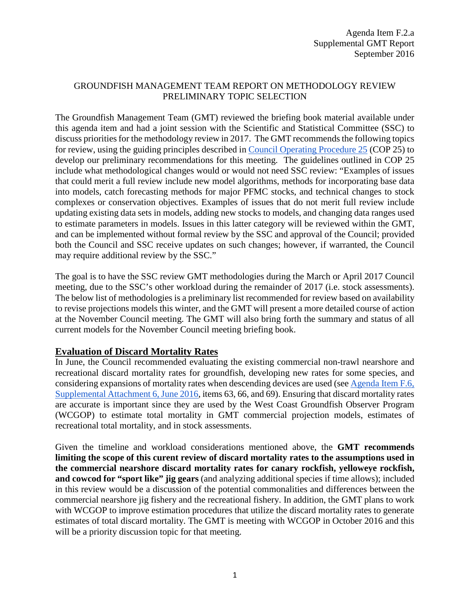### GROUNDFISH MANAGEMENT TEAM REPORT ON METHODOLOGY REVIEW PRELIMINARY TOPIC SELECTION

The Groundfish Management Team (GMT) reviewed the briefing book material available under this agenda item and had a joint session with the Scientific and Statistical Committee (SSC) to discuss priorities for the methodology review in 2017. The GMT recommends the following topics for review, using the guiding principles described in [Council Operating Procedure 25](http://www.pcouncil.org/wp-content/uploads/2015/06/cop25.pdf) (COP 25) to develop our preliminary recommendations for this meeting. The guidelines outlined in COP 25 include what methodological changes would or would not need SSC review: "Examples of issues that could merit a full review include new model algorithms, methods for incorporating base data into models, catch forecasting methods for major PFMC stocks, and technical changes to stock complexes or conservation objectives. Examples of issues that do not merit full review include updating existing data sets in models, adding new stocks to models, and changing data ranges used to estimate parameters in models. Issues in this latter category will be reviewed within the GMT, and can be implemented without formal review by the SSC and approval of the Council; provided both the Council and SSC receive updates on such changes; however, if warranted, the Council may require additional review by the SSC."

The goal is to have the SSC review GMT methodologies during the March or April 2017 Council meeting, due to the SSC's other workload during the remainder of 2017 (i.e. stock assessments). The below list of methodologies is a preliminary list recommended for review based on availability to revise projections models this winter, and the GMT will present a more detailed course of action at the November Council meeting. The GMT will also bring forth the summary and status of all current models for the November Council meeting briefing book.

# **Evaluation of Discard Mortality Rates**

In June, the Council recommended evaluating the existing commercial non-trawl nearshore and recreational discard mortality rates for groundfish, developing new rates for some species, and considering expansions of mortality rates when descending devices are used (see [Agenda Item F.6,](http://www.pcouncil.org/wp-content/uploads/2016/06/F6_Sup_Att6_Joint_NMFS_PFMC_Staff_Response_JUN2016BB.pdf)  [Supplemental Attachment 6, June 2016,](http://www.pcouncil.org/wp-content/uploads/2016/06/F6_Sup_Att6_Joint_NMFS_PFMC_Staff_Response_JUN2016BB.pdf) items 63, 66, and 69). Ensuring that discard mortality rates are accurate is important since they are used by the West Coast Groundfish Observer Program (WCGOP) to estimate total mortality in GMT commercial projection models, estimates of recreational total mortality, and in stock assessments.

Given the timeline and workload considerations mentioned above, the **GMT recommends limiting the scope of this curent review of discard mortality rates to the assumptions used in the commercial nearshore discard mortality rates for canary rockfish, yelloweye rockfish, and cowcod for "sport like" jig gears** (and analyzing additional species if time allows); included in this review would be a discussion of the potential commonalities and differences between the commercial nearshore jig fishery and the recreational fishery. In addition, the GMT plans to work with WCGOP to improve estimation procedures that utilize the discard mortality rates to generate estimates of total discard mortality. The GMT is meeting with WCGOP in October 2016 and this will be a priority discussion topic for that meeting.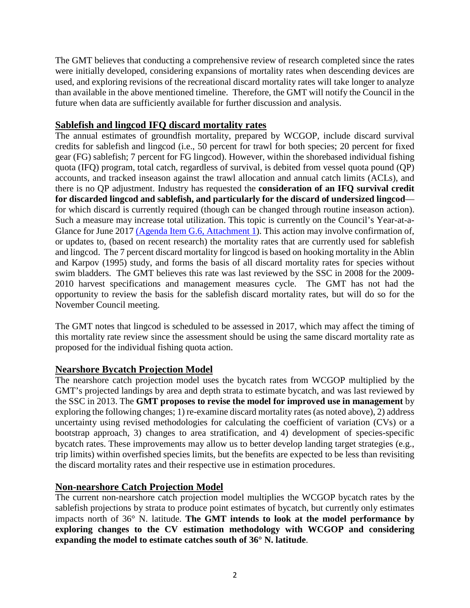The GMT believes that conducting a comprehensive review of research completed since the rates were initially developed, considering expansions of mortality rates when descending devices are used, and exploring revisions of the recreational discard mortality rates will take longer to analyze than available in the above mentioned timeline. Therefore, the GMT will notify the Council in the future when data are sufficiently available for further discussion and analysis.

### **Sablefish and lingcod IFQ discard mortality rates**

The annual estimates of groundfish mortality, prepared by WCGOP, include discard survival credits for sablefish and lingcod (i.e., 50 percent for trawl for both species; 20 percent for fixed gear (FG) sablefish; 7 percent for FG lingcod). However, within the shorebased individual fishing quota (IFQ) program, total catch, regardless of survival, is debited from vessel quota pound (QP) accounts, and tracked inseason against the trawl allocation and annual catch limits (ACLs), and there is no QP adjustment. Industry has requested the **consideration of an IFQ survival credit for discarded lingcod and sablefish, and particularly for the discard of undersized lingcod** for which discard is currently required (though can be changed through routine inseason action). Such a measure may increase total utilization. This topic is currently on the Council's Year-at-a-Glance for June 2017 [\(Agenda Item G.6, Attachment 1\)](http://www.pcouncil.org/wp-content/uploads/2016/08/G6_Att1_YAG_DRAFT_SEPT2016BB.pdf). This action may involve confirmation of, or updates to, (based on recent research) the mortality rates that are currently used for sablefish and lingcod. The 7 percent discard mortality for lingcod is based on hooking mortality in the Ablin and Karpov (1995) study, and forms the basis of all discard mortality rates for species without swim bladders. The GMT believes this rate was last reviewed by the SSC in 2008 for the 2009- 2010 harvest specifications and management measures cycle. The GMT has not had the opportunity to review the basis for the sablefish discard mortality rates, but will do so for the November Council meeting.

The GMT notes that lingcod is scheduled to be assessed in 2017, which may affect the timing of this mortality rate review since the assessment should be using the same discard mortality rate as proposed for the individual fishing quota action.

# **Nearshore Bycatch Projection Model**

The nearshore catch projection model uses the bycatch rates from WCGOP multiplied by the GMT's projected landings by area and depth strata to estimate bycatch, and was last reviewed by the SSC in 2013. The **GMT proposes to revise the model for improved use in management** by exploring the following changes; 1) re-examine discard mortality rates (as noted above), 2) address uncertainty using revised methodologies for calculating the coefficient of variation (CVs) or a bootstrap approach, 3) changes to area stratification, and 4) development of species-specific bycatch rates. These improvements may allow us to better develop landing target strategies (e.g., trip limits) within overfished species limits, but the benefits are expected to be less than revisiting the discard mortality rates and their respective use in estimation procedures.

# **Non-nearshore Catch Projection Model**

The current non-nearshore catch projection model multiplies the WCGOP bycatch rates by the sablefish projections by strata to produce point estimates of bycatch, but currently only estimates impacts north of 36° N. latitude. **The GMT intends to look at the model performance by exploring changes to the CV estimation methodology with WCGOP and considering expanding the model to estimate catches south of 36° N. latitude**.